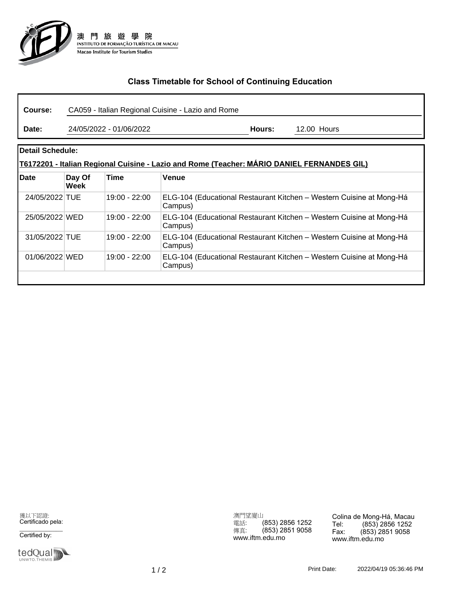

# **Class Timetable for School of Continuing Education**

| <b>Course:</b>   | CA059 - Italian Regional Cuisine - Lazio and Rome                                           |        |             |  |  |
|------------------|---------------------------------------------------------------------------------------------|--------|-------------|--|--|
| Date:            | 24/05/2022 - 01/06/2022                                                                     | Hours: | 12.00 Hours |  |  |
| Detail Schedule: | [T6172201 - Italian Regional Cuisine - Lazio and Rome (Teacher: MÁRIO DANIEL FERNANDES GIL) |        |             |  |  |

| <b>IDate</b>   | Day Of<br>Week | Time            | <b>Venue</b>                                                                    |
|----------------|----------------|-----------------|---------------------------------------------------------------------------------|
| 24/05/2022 TUE |                | $19:00 - 22:00$ | ELG-104 (Educational Restaurant Kitchen – Western Cuisine at Mong-Há<br>Campus) |
| 25/05/2022 WED |                | 19:00 - 22:00   | ELG-104 (Educational Restaurant Kitchen - Western Cuisine at Mong-Há<br>Campus) |
| 31/05/2022 TUE |                | 19:00 - 22:00   | ELG-104 (Educational Restaurant Kitchen – Western Cuisine at Mong-Há<br>Campus) |
| 01/06/2022 WED |                | $19:00 - 22:00$ | ELG-104 (Educational Restaurant Kitchen – Western Cuisine at Mong-Há<br>Campus) |

獲以下認證: Certificado pela:

 $\overline{\phantom{a}}$ Certified by:



澳門望廈山<br>電話<br>電話 電話: (853) 2856 1252 傳真: (853) 2851 9058 www.iftm.edu.mo

Colina de Mong-Há, Macau Tel: (853) 2856 1252 Fax: (853) 2851 9058 www.iftm.edu.mo